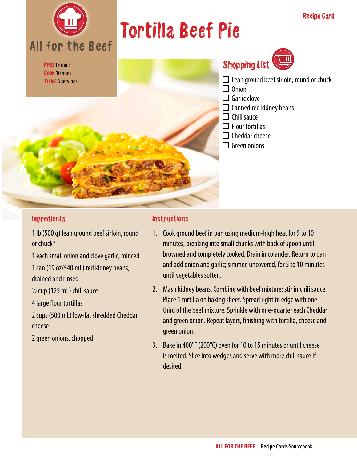

## Tortilla Beef Pie



## Shopping List

- $\square$  Lean ground beef sirloin, round or chuck
- $\Box$  Onion
- $\Box$  Garlic clove
- $\Box$  Canned red kidney beans
- $\Box$  Chili sauce
- $\Box$  Flour tortillas
- $\Box$  Cheddar cheese
- $\Box$  Green onions

#### Ingredients

1 lb (500 g) lean ground beef sirloin, round or chuck\*

1 each small onion and clove garlic, minced

1 can (19 oz/540 mL) red kidney beans, drained and rinsed

½ cup (125 mL) chili sauce

4 large flour tortillas

2 cups (500 mL) low-fat shredded Cheddar cheese

2 green onions, chopped

#### **Instructions**

- 1. Cook ground beef in pan using medium-high heat for 9 to 10 minutes, breaking into small chunks with back of spoon until browned and completely cooked. Drain in colander. Return to pan and add onion and garlic; simmer, uncovered, for 5 to 10 minutes until vegetables soften.
- 2. Mash kidney beans. Combine with beef mixture; stir in chili sauce. Place 1 tortilla on baking sheet. Spread right to edge with onethird of the beef mixture. Sprinkle with one-quarter each Cheddar and green onion. Repeat layers, finishing with tortilla, cheese and green onion.
- 3. Bake in 400°F (200°C) oven for 10 to 15 minutes or until cheese is melted. Slice into wedges and serve with more chili sauce if desired.